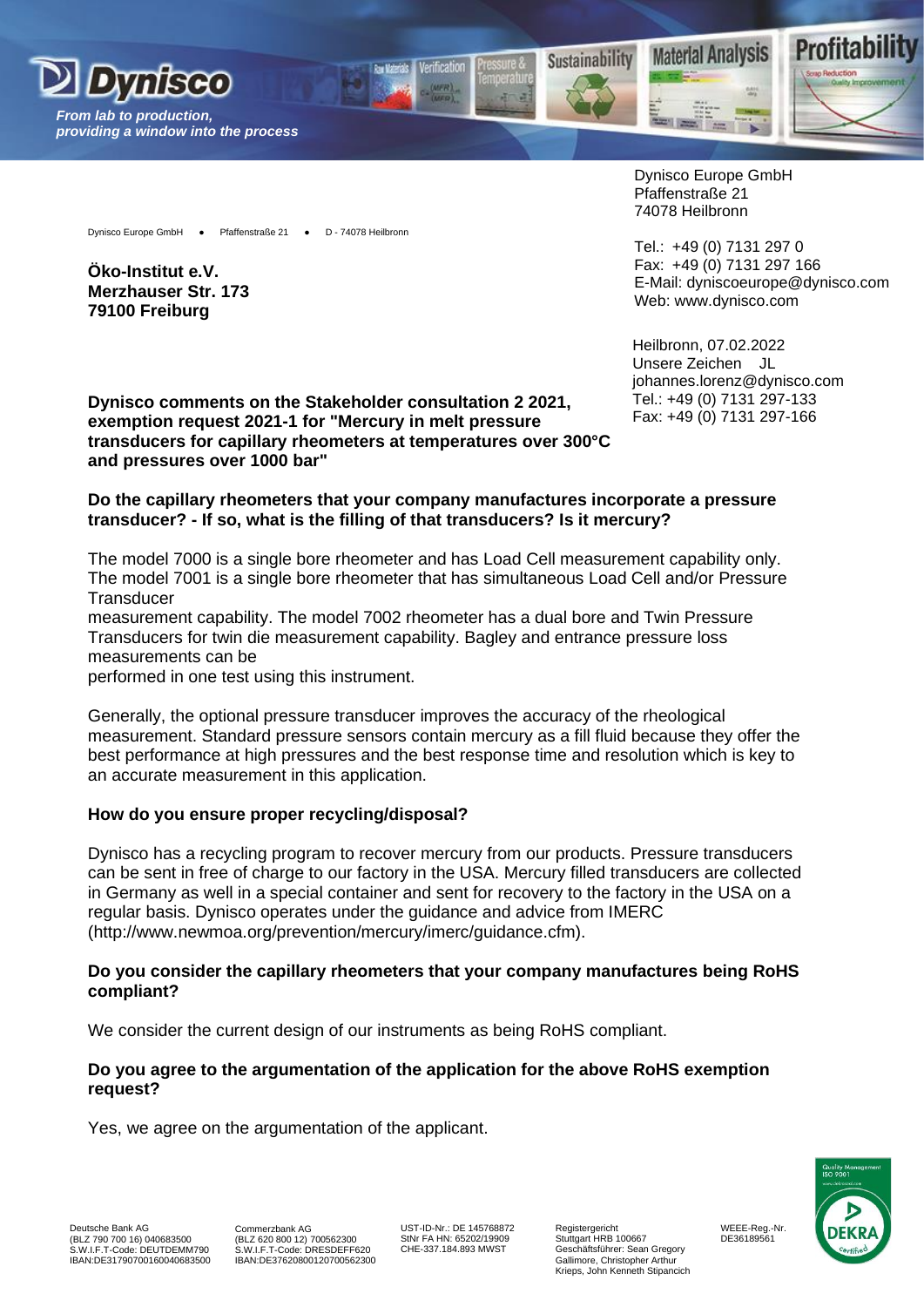







Dynisco Europe GmbH ● Pfaffenstraße 21 ● D - 74078 Heilbronn

**Öko-Institut e.V. Merzhauser Str. 173 79100 Freiburg**

Dynisco Europe GmbH Pfaffenstraße 21 74078 Heilbronn

Tel.: +49 (0) 7131 297 0 Fax: +49 (0) 7131 297 166 E-Mail: [dyniscoeurope@dynisco.com](mailto:dyniscoeurope@dynisco.com) Web: [www.dynisco.com](http://www.dynisco.com/)

Heilbronn, 07.02.2022 Unsere Zeichen JL johannes.lorenz@dynisco.com Tel.: +49 (0) 7131 297-133 Fax: +49 (0) 7131 297-166

**Dynisco comments on the Stakeholder consultation 2 2021, exemption request 2021-1 for "Mercury in melt pressure transducers for capillary rheometers at temperatures over 300°C and pressures over 1000 bar"**

### **Do the capillary rheometers that your company manufactures incorporate a pressure transducer? - If so, what is the filling of that transducers? Is it mercury?**

The model 7000 is a single bore rheometer and has Load Cell measurement capability only. The model 7001 is a single bore rheometer that has simultaneous Load Cell and/or Pressure **Transducer** 

measurement capability. The model 7002 rheometer has a dual bore and Twin Pressure Transducers for twin die measurement capability. Bagley and entrance pressure loss measurements can be

performed in one test using this instrument.

Generally, the optional pressure transducer improves the accuracy of the rheological measurement. Standard pressure sensors contain mercury as a fill fluid because they offer the best performance at high pressures and the best response time and resolution which is key to an accurate measurement in this application.

# **How do you ensure proper recycling/disposal?**

Dynisco has a recycling program to recover mercury from our products. Pressure transducers can be sent in free of charge to our factory in the USA. Mercury filled transducers are collected in Germany as well in a special container and sent for recovery to the factory in the USA on a regular basis. Dynisco operates under the guidance and advice from IMERC (http://www.newmoa.org/prevention/mercury/imerc/guidance.cfm).

## **Do you consider the capillary rheometers that your company manufactures being RoHS compliant?**

We consider the current design of our instruments as being RoHS compliant.

### **Do you agree to the argumentation of the application for the above RoHS exemption request?**

Yes, we agree on the argumentation of the applicant.

Commerzbank AG (BLZ 620 800 12) 700562300 S.W.I.F.T-Code: DRESDEFF620 IBAN:DE37620800120700562300

UST-ID-Nr.: DE 145768872 StNr FA HN: 65202/19909 CHE-337.184.893 MWST

Registergericht Stuttgart HRB 100667 Geschäftsführer: Sean Gregory Gallimore, Christopher Arthur Krieps, John Kenneth Stipancich



WEEE-Reg.-Nr. DE36189561